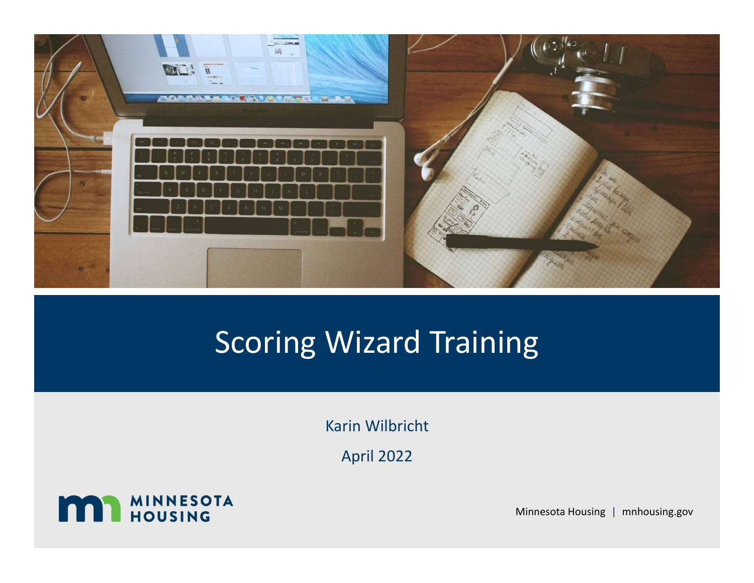

## Scoring Wizard Training

Karin Wilbricht

April 2022



Minnesota Housing | mnhousing.gov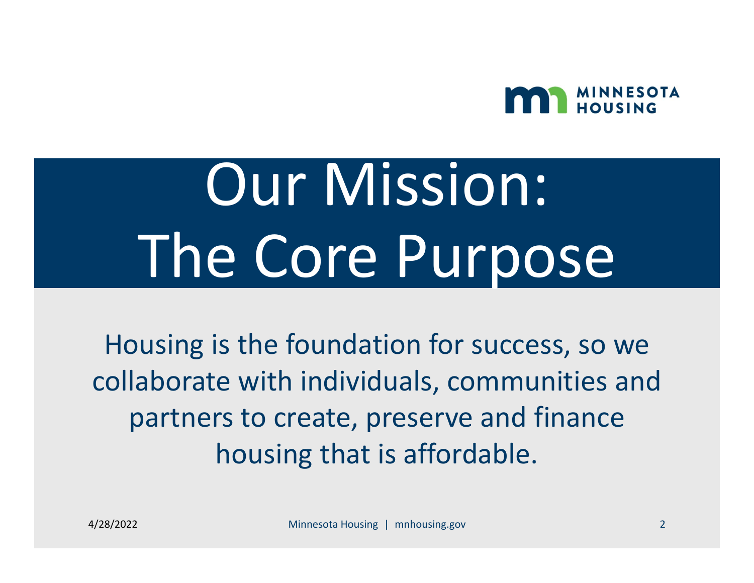

# Our Mission: The Core Purpose

Housing is the foundation for success, so we collaborate with individuals, communities and partners to create, preserve and finance housing that is affordable.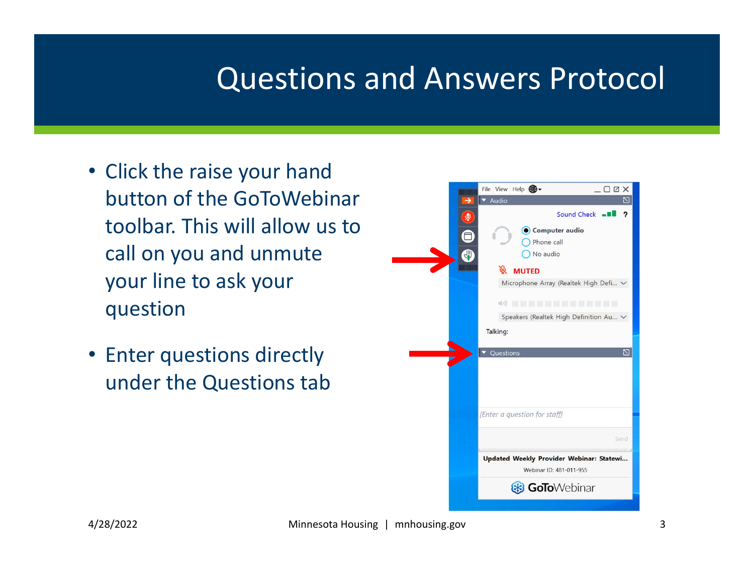## Questions and Answers Protocol

- Click the raise your hand button of the GoToWebinar toolbar. This will allow us to call on you and unmute your line to ask your question
- Enter questions directly under the Questions tab

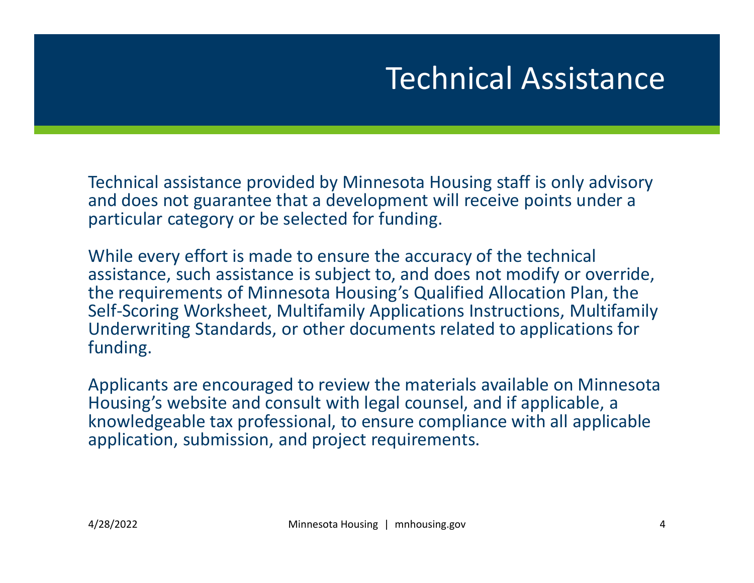## Technical Assistance

Technical assistance provided by Minnesota Housing staff is only advisory and does not guarantee that a development will receive points under a particular category or be selected for funding.

While every effort is made to ensure the accuracy of the technical assistance, such assistance is subject to, and does not modify or override, the requirements of Minnesota Housing's Qualified Allocation Plan, the Self‐Scoring Worksheet, Multifamily Applications Instructions, Multifamily Underwriting Standards, or other documents related to applications for funding.

Applicants are encouraged to review the materials available on Minnesota Housing's website and consult with legal counsel, and if applicable, a knowledgeable tax professional, to ensure compliance with all applicable application, submission, and project requirements.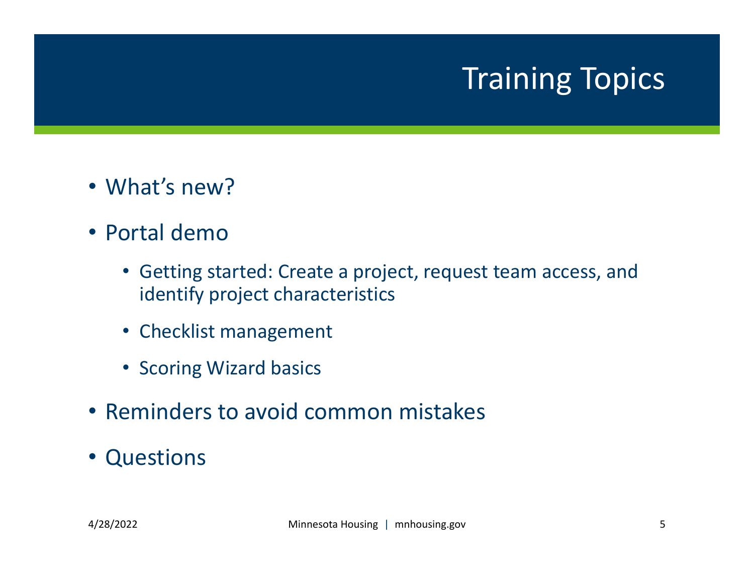## Training Topics

- What's new?
- Portal demo
	- Getting started: Create a project, request team access, and identify project characteristics
	- Checklist management
	- Scoring Wizard basics
- Reminders to avoid common mistakes
- Questions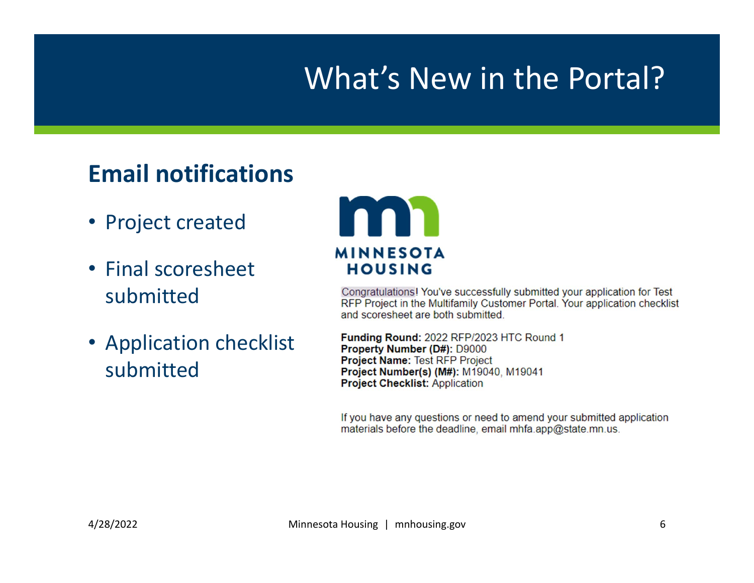## What's New in the Portal?

### **Email notifications**

- Project created
- Final scoresheet submitted
- Application checklist submitted



Congratulations! You've successfully submitted your application for Test RFP Project in the Multifamily Customer Portal. Your application checklist and scoresheet are both submitted.

Funding Round: 2022 RFP/2023 HTC Round 1 Property Number (D#): D9000 Project Name: Test RFP Project Project Number(s) (M#): M19040, M19041 **Project Checklist: Application** 

If you have any questions or need to amend your submitted application materials before the deadline, email mhfa.app@state.mn.us.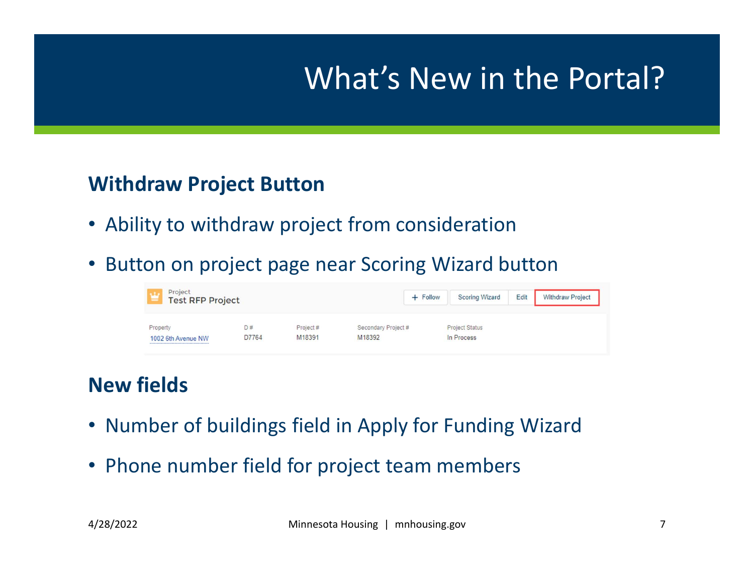## What's New in the Portal?

#### **Withdraw Project Button**

- Ability to withdraw project from consideration
- Button on project page near Scoring Wizard button

| Project<br><b>Test RFP Project</b><br>- |             |                    |                               | $+$ Follow | <b>Scoring Wizard</b>               | Edit | <b>Withdraw Project</b> |
|-----------------------------------------|-------------|--------------------|-------------------------------|------------|-------------------------------------|------|-------------------------|
| Property<br>1002 6th Avenue NW          | D#<br>D7764 | Project#<br>M18391 | Secondary Project #<br>M18392 |            | <b>Project Status</b><br>In Process |      |                         |

#### **New fields**

- Number of buildings field in Apply for Funding Wizard
- Phone number field for project team members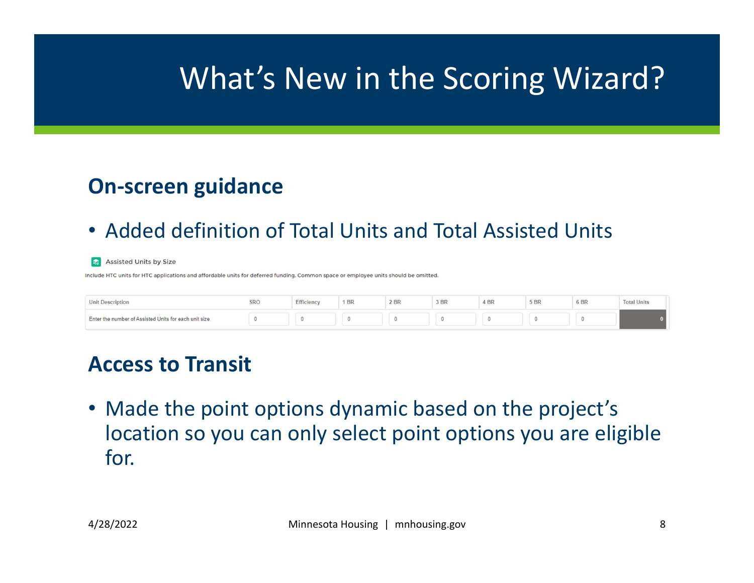## What's New in the Scoring Wizard?

#### **On‐screen guidance**

• Added definition of Total Units and Total Assisted Units

#### Assisted Units by Size

Include HTC units for HTC applications and affordable units for deferred funding. Common space or employee units should be omitted.

| <b>Unit Description</b>                                | SRO | Efficiency | $1$ BR | 2 BR | 3 BR | 4 BR | 5 BR | 6 BR | tal Units |
|--------------------------------------------------------|-----|------------|--------|------|------|------|------|------|-----------|
| Enter the number of Assisted Units for each unit size. |     |            |        |      |      |      |      |      |           |

#### **Access to Transit**

• Made the point options dynamic based on the project's location so you can only select point options you are eligible for.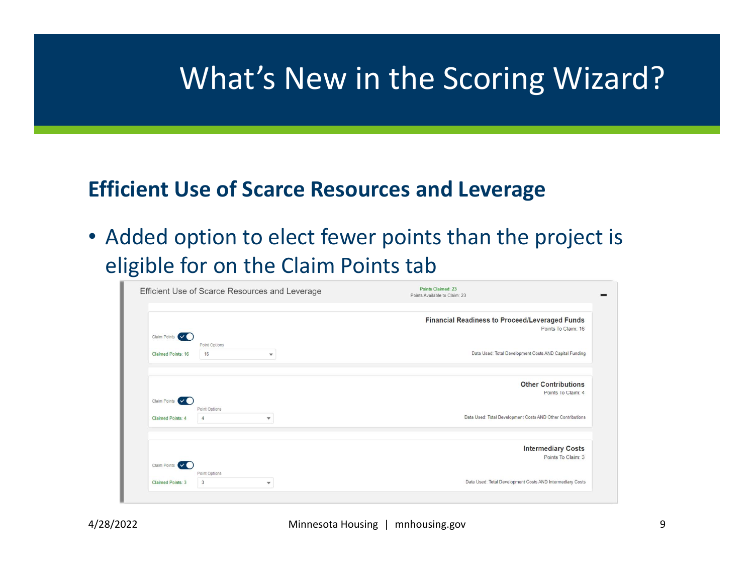## What's New in the Scoring Wizard?

#### **Efficient Use of Scarce Resources and Leverage**

• Added option to elect fewer points than the project is eligible for on the Claim Points tab

|                                                                                        | Points Claimed: 23<br>Points Available to Claim: 23 | Efficient Use of Scarce Resources and Leverage  |                                       |
|----------------------------------------------------------------------------------------|-----------------------------------------------------|-------------------------------------------------|---------------------------------------|
| Financial Readiness to Proceed/Leveraged Funds<br>Points To Claim: 16                  |                                                     |                                                 | Claim Points (V                       |
|                                                                                        |                                                     | Point Options                                   |                                       |
| Data Used: Total Development Costs AND Capital Funding                                 |                                                     | 16<br>$\mathbf{v}$                              | <b>Claimed Points: 16</b>             |
| Points To Claim: 4<br>Data Used: Total Development Costs AND Other Contributions       |                                                     | Point Options<br>$\overline{4}$<br>$\mathbf{v}$ | Claim Points V (<br>Claimed Points: 4 |
|                                                                                        |                                                     |                                                 |                                       |
|                                                                                        |                                                     |                                                 |                                       |
|                                                                                        |                                                     |                                                 |                                       |
| Points To Claim: 3                                                                     |                                                     |                                                 | Claim Points V                        |
| <b>Intermediary Costs</b><br>Data Used: Total Development Costs AND Intermediary Costs |                                                     | Point Options<br>$\overline{3}$<br>$\mathbf{v}$ | <b>Claimed Points: 3</b>              |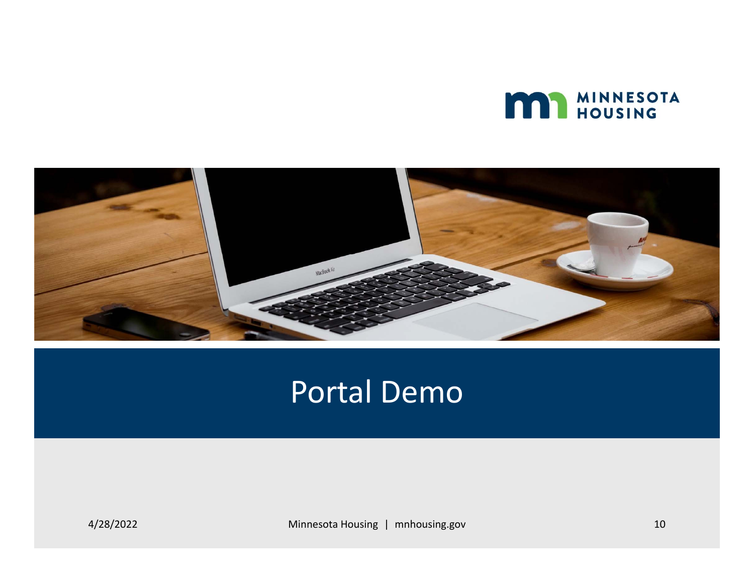



### Portal Demo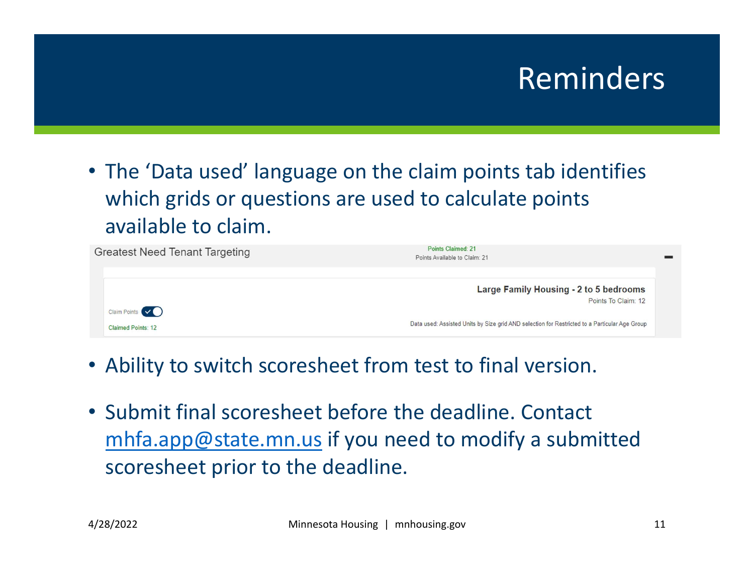## Reminders

• The 'Data used' language on the claim points tab identifies which grids or questions are used to calculate points available to claim.



- Ability to switch scoresheet from test to final version.
- Submit final scoresheet before the deadline. Contact mhfa.app@state.mn.us if you need to modify a submitted scoresheet prior to the deadline.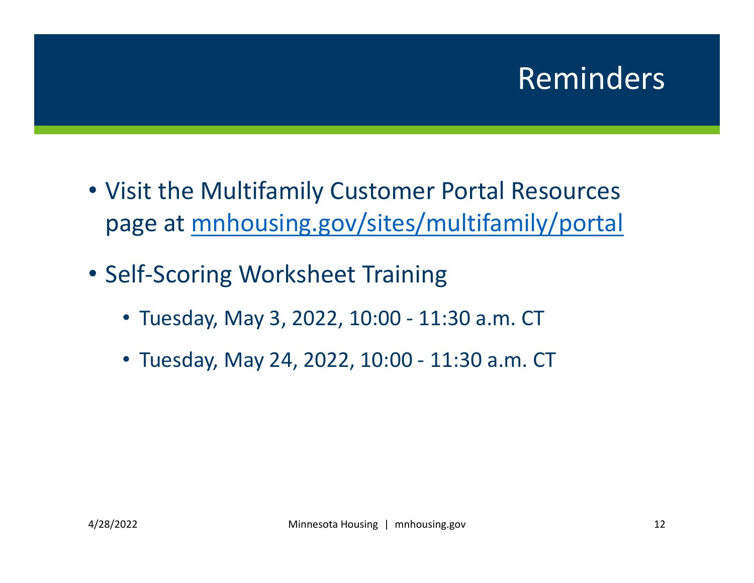## Reminders

- Visit the Multifamily Customer Portal Resources page at mnhousing.gov/sites/multifamily/portal
- Self‐Scoring Worksheet Training
	- Tuesday, May 3, 2022, 10:00 ‐ 11:30 a.m. CT
	- Tuesday, May 24, 2022, 10:00 ‐ 11:30 a.m. CT